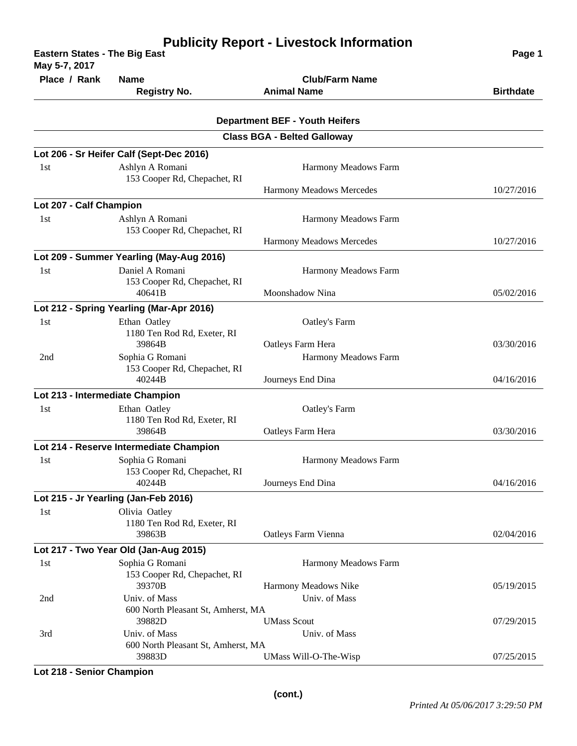| <b>Eastern States - The Big East</b><br>May 5-7, 2017 | Page 1                                                 |                                                                             |                  |
|-------------------------------------------------------|--------------------------------------------------------|-----------------------------------------------------------------------------|------------------|
| Place / Rank                                          | <b>Name</b>                                            | <b>Club/Farm Name</b>                                                       |                  |
|                                                       | <b>Registry No.</b>                                    | <b>Animal Name</b>                                                          | <b>Birthdate</b> |
|                                                       |                                                        |                                                                             |                  |
|                                                       |                                                        | <b>Department BEF - Youth Heifers</b><br><b>Class BGA - Belted Galloway</b> |                  |
|                                                       | Lot 206 - Sr Heifer Calf (Sept-Dec 2016)               |                                                                             |                  |
| 1st                                                   | Ashlyn A Romani<br>153 Cooper Rd, Chepachet, RI        | Harmony Meadows Farm                                                        |                  |
|                                                       |                                                        | Harmony Meadows Mercedes                                                    | 10/27/2016       |
| Lot 207 - Calf Champion                               |                                                        |                                                                             |                  |
| 1st                                                   | Ashlyn A Romani<br>153 Cooper Rd, Chepachet, RI        | Harmony Meadows Farm                                                        |                  |
|                                                       |                                                        | Harmony Meadows Mercedes                                                    | 10/27/2016       |
|                                                       | Lot 209 - Summer Yearling (May-Aug 2016)               |                                                                             |                  |
| 1st                                                   | Daniel A Romani<br>153 Cooper Rd, Chepachet, RI        | Harmony Meadows Farm                                                        |                  |
|                                                       | 40641B                                                 | Moonshadow Nina                                                             | 05/02/2016       |
|                                                       | Lot 212 - Spring Yearling (Mar-Apr 2016)               |                                                                             |                  |
| 1 <sub>st</sub>                                       | Ethan Oatley<br>1180 Ten Rod Rd, Exeter, RI            | Oatley's Farm                                                               |                  |
|                                                       | 39864B                                                 | Oatleys Farm Hera                                                           | 03/30/2016       |
| 2nd                                                   | Sophia G Romani<br>153 Cooper Rd, Chepachet, RI        | Harmony Meadows Farm                                                        |                  |
|                                                       | 40244B                                                 | Journeys End Dina                                                           | 04/16/2016       |
|                                                       | Lot 213 - Intermediate Champion                        |                                                                             |                  |
| 1st                                                   | Ethan Oatley<br>1180 Ten Rod Rd, Exeter, RI            | Oatley's Farm                                                               |                  |
|                                                       | 39864B                                                 | Oatleys Farm Hera                                                           | 03/30/2016       |
|                                                       | Lot 214 - Reserve Intermediate Champion                |                                                                             |                  |
| 1st                                                   | Sophia G Romani<br>153 Cooper Rd, Chepachet, RI        | Harmony Meadows Farm                                                        |                  |
|                                                       | 40244B                                                 | Journeys End Dina                                                           | 04/16/2016       |
|                                                       | Lot 215 - Jr Yearling (Jan-Feb 2016)                   |                                                                             |                  |
| 1st                                                   | Olivia Oatley<br>1180 Ten Rod Rd, Exeter, RI<br>39863B | Oatleys Farm Vienna                                                         | 02/04/2016       |
|                                                       | Lot 217 - Two Year Old (Jan-Aug 2015)                  |                                                                             |                  |
| 1st                                                   | Sophia G Romani<br>153 Cooper Rd, Chepachet, RI        | Harmony Meadows Farm                                                        |                  |
|                                                       | 39370B                                                 | Harmony Meadows Nike                                                        | 05/19/2015       |
| 2nd                                                   | Univ. of Mass<br>600 North Pleasant St, Amherst, MA    | Univ. of Mass                                                               |                  |
|                                                       | 39882D                                                 | <b>UMass Scout</b>                                                          | 07/29/2015       |
| 3rd                                                   | Univ. of Mass<br>600 North Pleasant St, Amherst, MA    | Univ. of Mass                                                               |                  |
|                                                       | 39883D                                                 | UMass Will-O-The-Wisp                                                       | 07/25/2015       |

**Lot 218 - Senior Champion**